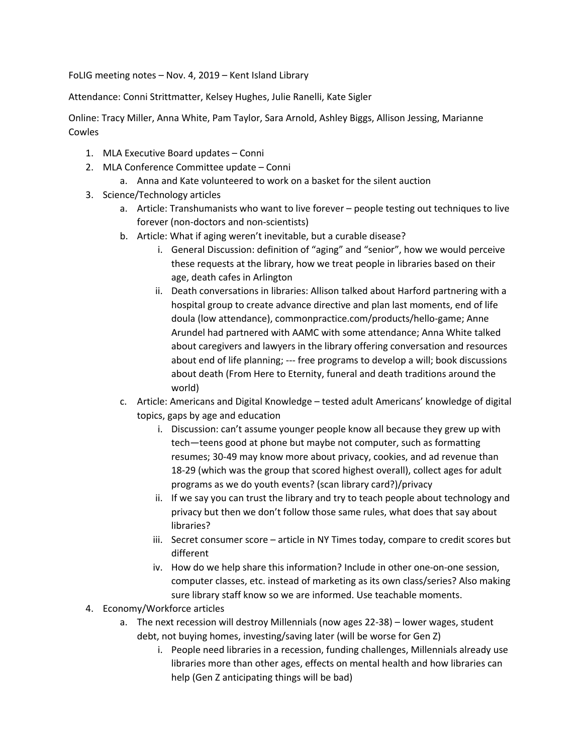FoLIG meeting notes – Nov. 4, 2019 – Kent Island Library

Attendance: Conni Strittmatter, Kelsey Hughes, Julie Ranelli, Kate Sigler

Online: Tracy Miller, Anna White, Pam Taylor, Sara Arnold, Ashley Biggs, Allison Jessing, Marianne Cowles

- 1. MLA Executive Board updates Conni
- 2. MLA Conference Committee update Conni
	- a. Anna and Kate volunteered to work on a basket for the silent auction
- 3. Science/Technology articles
	- a. Article: Transhumanists who want to live forever people testing out techniques to live forever (non-doctors and non-scientists)
	- b. Article: What if aging weren't inevitable, but a curable disease?
		- i. General Discussion: definition of "aging" and "senior", how we would perceive these requests at the library, how we treat people in libraries based on their age, death cafes in Arlington
		- ii. Death conversations in libraries: Allison talked about Harford partnering with a hospital group to create advance directive and plan last moments, end of life doula (low attendance), commonpractice.com/products/hello-game; Anne Arundel had partnered with AAMC with some attendance; Anna White talked about caregivers and lawyers in the library offering conversation and resources about end of life planning; --- free programs to develop a will; book discussions about death (From Here to Eternity, funeral and death traditions around the world)
	- c. Article: Americans and Digital Knowledge tested adult Americans' knowledge of digital topics, gaps by age and education
		- i. Discussion: can't assume younger people know all because they grew up with tech—teens good at phone but maybe not computer, such as formatting resumes; 30-49 may know more about privacy, cookies, and ad revenue than 18-29 (which was the group that scored highest overall), collect ages for adult programs as we do youth events? (scan library card?)/privacy
		- ii. If we say you can trust the library and try to teach people about technology and privacy but then we don't follow those same rules, what does that say about libraries?
		- iii. Secret consumer score article in NY Times today, compare to credit scores but different
		- iv. How do we help share this information? Include in other one-on-one session, computer classes, etc. instead of marketing as its own class/series? Also making sure library staff know so we are informed. Use teachable moments.
- 4. Economy/Workforce articles
	- a. The next recession will destroy Millennials (now ages 22-38) lower wages, student debt, not buying homes, investing/saving later (will be worse for Gen Z)
		- i. People need libraries in a recession, funding challenges, Millennials already use libraries more than other ages, effects on mental health and how libraries can help (Gen Z anticipating things will be bad)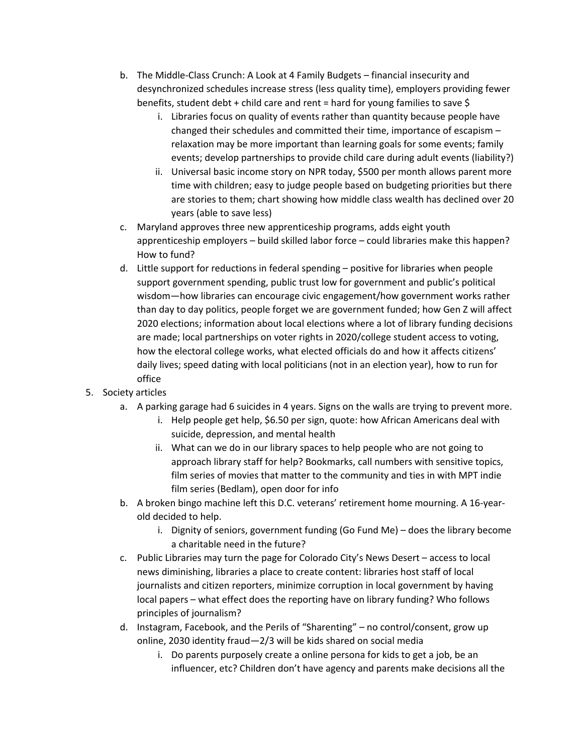- b. The Middle-Class Crunch: A Look at 4 Family Budgets financial insecurity and desynchronized schedules increase stress (less quality time), employers providing fewer benefits, student debt + child care and rent = hard for young families to save \$
	- i. Libraries focus on quality of events rather than quantity because people have changed their schedules and committed their time, importance of escapism – relaxation may be more important than learning goals for some events; family events; develop partnerships to provide child care during adult events (liability?)
	- ii. Universal basic income story on NPR today, \$500 per month allows parent more time with children; easy to judge people based on budgeting priorities but there are stories to them; chart showing how middle class wealth has declined over 20 years (able to save less)
- c. Maryland approves three new apprenticeship programs, adds eight youth apprenticeship employers – build skilled labor force – could libraries make this happen? How to fund?
- d. Little support for reductions in federal spending positive for libraries when people support government spending, public trust low for government and public's political wisdom—how libraries can encourage civic engagement/how government works rather than day to day politics, people forget we are government funded; how Gen Z will affect 2020 elections; information about local elections where a lot of library funding decisions are made; local partnerships on voter rights in 2020/college student access to voting, how the electoral college works, what elected officials do and how it affects citizens' daily lives; speed dating with local politicians (not in an election year), how to run for office
- 5. Society articles
	- a. A parking garage had 6 suicides in 4 years. Signs on the walls are trying to prevent more.
		- i. Help people get help, \$6.50 per sign, quote: how African Americans deal with suicide, depression, and mental health
		- ii. What can we do in our library spaces to help people who are not going to approach library staff for help? Bookmarks, call numbers with sensitive topics, film series of movies that matter to the community and ties in with MPT indie film series (Bedlam), open door for info
	- b. A broken bingo machine left this D.C. veterans' retirement home mourning. A 16-yearold decided to help.
		- i. Dignity of seniors, government funding (Go Fund Me) does the library become a charitable need in the future?
	- c. Public Libraries may turn the page for Colorado City's News Desert access to local news diminishing, libraries a place to create content: libraries host staff of local journalists and citizen reporters, minimize corruption in local government by having local papers – what effect does the reporting have on library funding? Who follows principles of journalism?
	- d. Instagram, Facebook, and the Perils of "Sharenting" no control/consent, grow up online, 2030 identity fraud—2/3 will be kids shared on social media
		- i. Do parents purposely create a online persona for kids to get a job, be an influencer, etc? Children don't have agency and parents make decisions all the